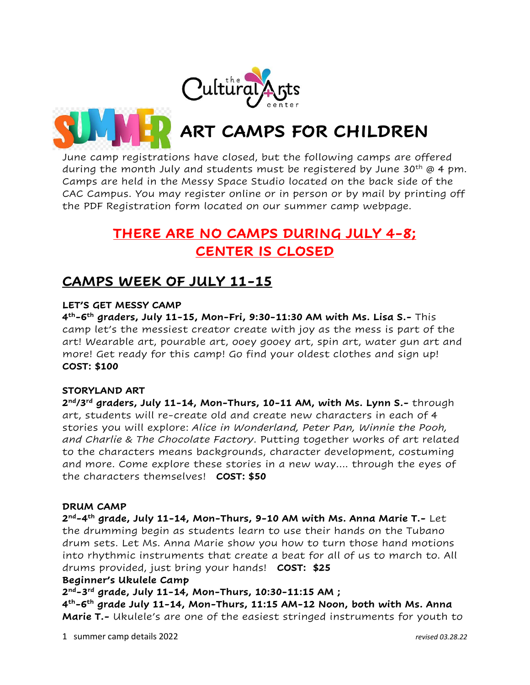

**ART CAMPS FOR CHILDREN**

June camp registrations have closed, but the following camps are offered during the month July and students must be registered by June  $30<sup>th</sup>$  @ 4 pm. Camps are held in the Messy Space Studio located on the back side of the CAC Campus. You may register online or in person or by mail by printing off the PDF Registration form located on our summer camp webpage.

# **THERE ARE NO CAMPS DURING JULY 4-8; CENTER IS CLOSED**

## **CAMPS WEEK OF JULY 11-15**

### **LET'S GET MESSY CAMP**

**4 th-6 th graders, July 11-15, Mon-Fri, 9:30-11:30 AM with Ms. Lisa S.-** This camp let's the messiest creator create with joy as the mess is part of the art! Wearable art, pourable art, ooey gooey art, spin art, water gun art and more! Get ready for this camp! Go find your oldest clothes and sign up! **COST: \$100**

### **STORYLAND ART**

**2 nd/3rd graders, July 11-14, Mon-Thurs, 10-11 AM, with Ms. Lynn S.-** through art, students will re-create old and create new characters in each of 4 stories you will explore: *Alice in Wonderland, Peter Pan, Winnie the Pooh, and Charlie & The Chocolate Factory*. Putting together works of art related to the characters means backgrounds, character development, costuming and more. Come explore these stories in a new way…. through the eyes of the characters themselves! **COST: \$50**

### **DRUM CAMP**

**2 nd-4 th grade, July 11-14, Mon-Thurs, 9-10 AM with Ms. Anna Marie T.-** Let the drumming begin as students learn to use their hands on the Tubano drum sets. Let Ms. Anna Marie show you how to turn those hand motions into rhythmic instruments that create a beat for all of us to march to. All drums provided, just bring your hands! **COST: \$25**

### **Beginner's Ukulele Camp**

**2 nd-3 rd grade, July 11-14, Mon-Thurs, 10:30-11:15 AM ;** 

**4 th-6 th grade July 11-14, Mon-Thurs, 11:15 AM-12 Noon, both with Ms. Anna Marie T.-** Ukulele's are one of the easiest stringed instruments for youth to